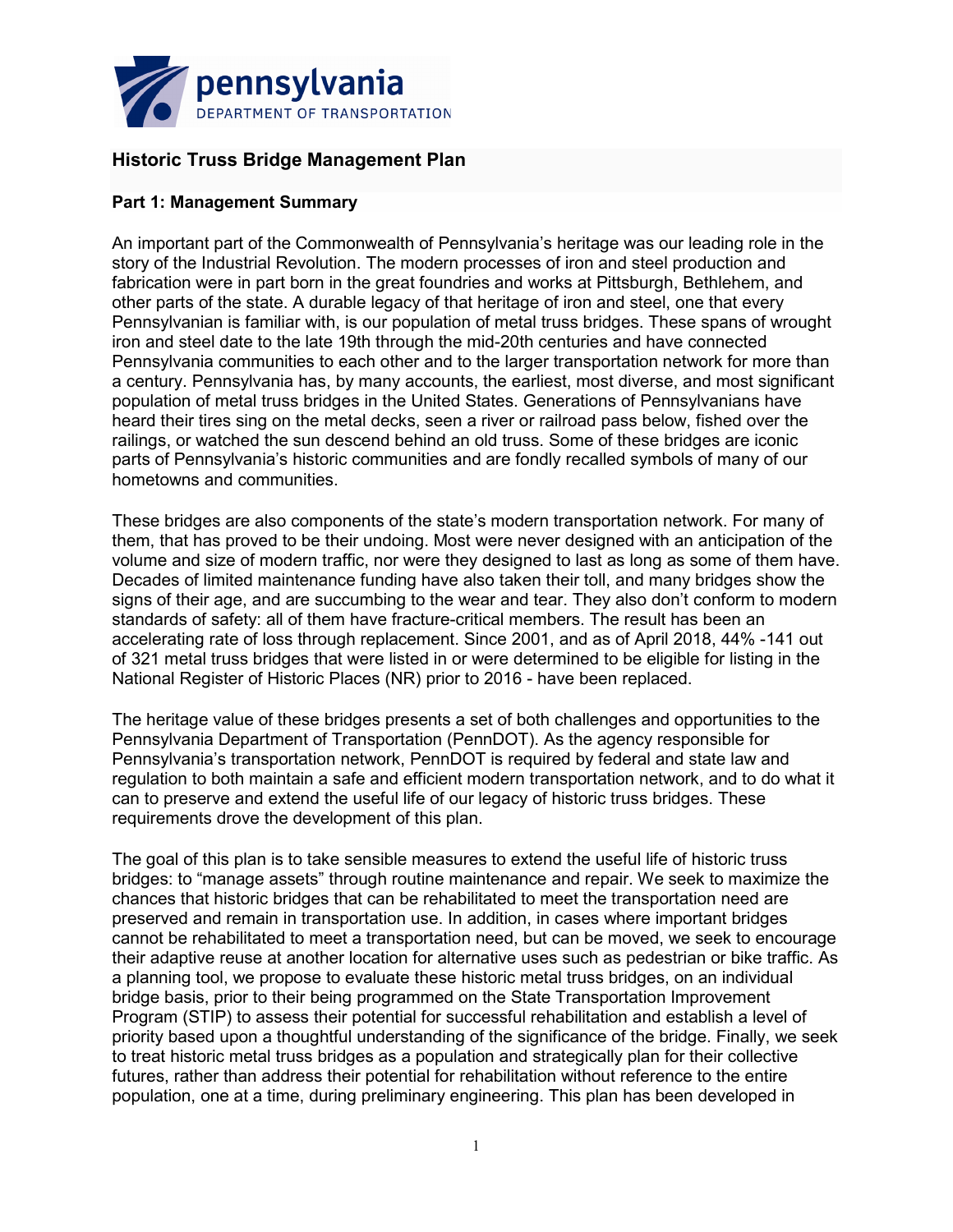

# **Historic Truss Bridge Management Plan**

### **Part 1: Management Summary**

An important part of the Commonwealth of Pennsylvania's heritage was our leading role in the story of the Industrial Revolution. The modern processes of iron and steel production and fabrication were in part born in the great foundries and works at Pittsburgh, Bethlehem, and other parts of the state. A durable legacy of that heritage of iron and steel, one that every Pennsylvanian is familiar with, is our population of metal truss bridges. These spans of wrought iron and steel date to the late 19th through the mid-20th centuries and have connected Pennsylvania communities to each other and to the larger transportation network for more than a century. Pennsylvania has, by many accounts, the earliest, most diverse, and most significant population of metal truss bridges in the United States. Generations of Pennsylvanians have heard their tires sing on the metal decks, seen a river or railroad pass below, fished over the railings, or watched the sun descend behind an old truss. Some of these bridges are iconic parts of Pennsylvania's historic communities and are fondly recalled symbols of many of our hometowns and communities.

These bridges are also components of the state's modern transportation network. For many of them, that has proved to be their undoing. Most were never designed with an anticipation of the volume and size of modern traffic, nor were they designed to last as long as some of them have. Decades of limited maintenance funding have also taken their toll, and many bridges show the signs of their age, and are succumbing to the wear and tear. They also don't conform to modern standards of safety: all of them have fracture-critical members. The result has been an accelerating rate of loss through replacement. Since 2001, and as of April 2018, 44% -141 out of 321 metal truss bridges that were listed in or were determined to be eligible for listing in the National Register of Historic Places (NR) prior to 2016 - have been replaced.

The heritage value of these bridges presents a set of both challenges and opportunities to the Pennsylvania Department of Transportation (PennDOT). As the agency responsible for Pennsylvania's transportation network, PennDOT is required by federal and state law and regulation to both maintain a safe and efficient modern transportation network, and to do what it can to preserve and extend the useful life of our legacy of historic truss bridges. These requirements drove the development of this plan.

The goal of this plan is to take sensible measures to extend the useful life of historic truss bridges: to "manage assets" through routine maintenance and repair. We seek to maximize the chances that historic bridges that can be rehabilitated to meet the transportation need are preserved and remain in transportation use. In addition, in cases where important bridges cannot be rehabilitated to meet a transportation need, but can be moved, we seek to encourage their adaptive reuse at another location for alternative uses such as pedestrian or bike traffic. As a planning tool, we propose to evaluate these historic metal truss bridges, on an individual bridge basis, prior to their being programmed on the State Transportation Improvement Program (STIP) to assess their potential for successful rehabilitation and establish a level of priority based upon a thoughtful understanding of the significance of the bridge. Finally, we seek to treat historic metal truss bridges as a population and strategically plan for their collective futures, rather than address their potential for rehabilitation without reference to the entire population, one at a time, during preliminary engineering. This plan has been developed in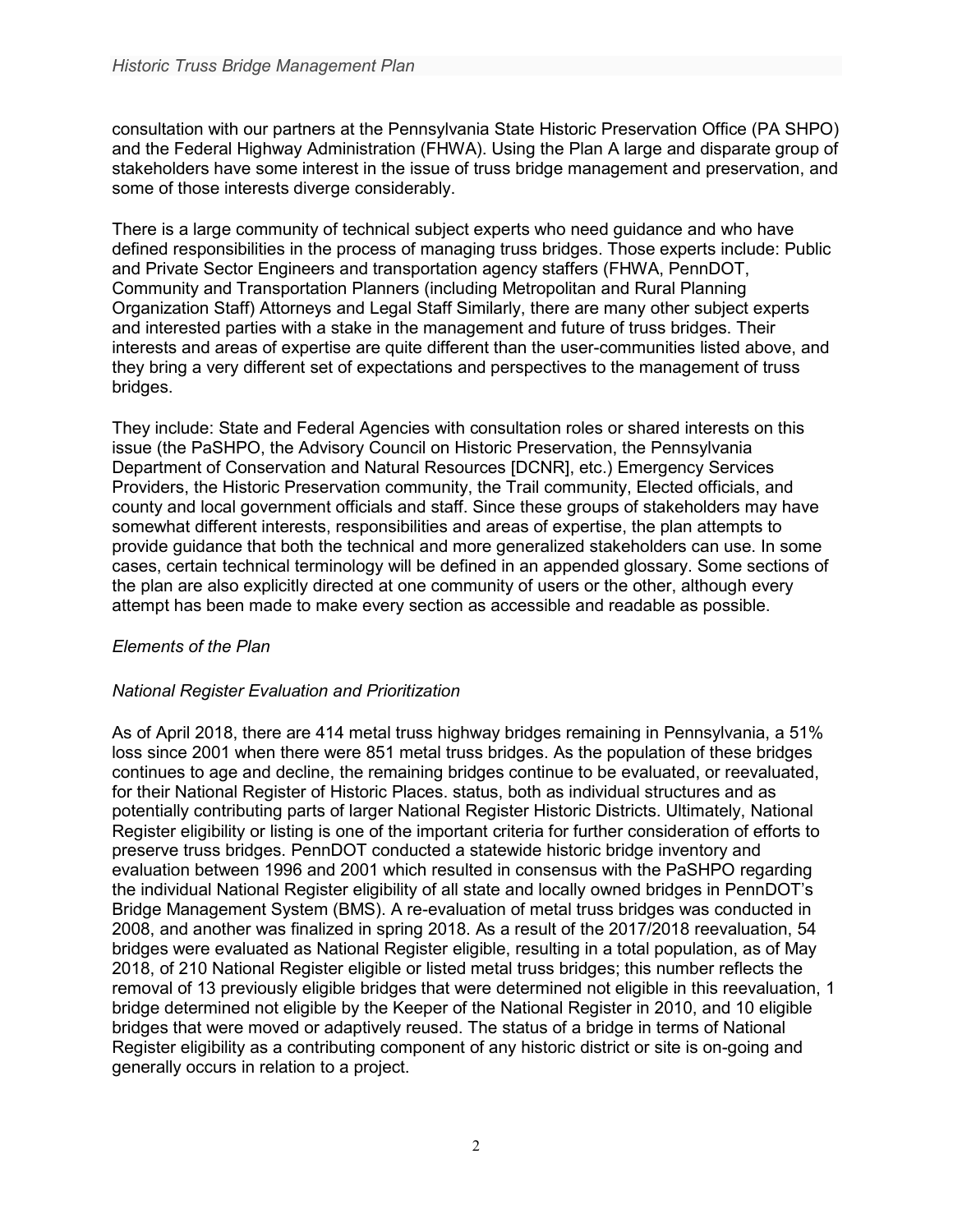consultation with our partners at the Pennsylvania State Historic Preservation Office (PA SHPO) and the Federal Highway Administration (FHWA). Using the Plan A large and disparate group of stakeholders have some interest in the issue of truss bridge management and preservation, and some of those interests diverge considerably.

There is a large community of technical subject experts who need guidance and who have defined responsibilities in the process of managing truss bridges. Those experts include: Public and Private Sector Engineers and transportation agency staffers (FHWA, PennDOT, Community and Transportation Planners (including Metropolitan and Rural Planning Organization Staff) Attorneys and Legal Staff Similarly, there are many other subject experts and interested parties with a stake in the management and future of truss bridges. Their interests and areas of expertise are quite different than the user-communities listed above, and they bring a very different set of expectations and perspectives to the management of truss bridges.

They include: State and Federal Agencies with consultation roles or shared interests on this issue (the PaSHPO, the Advisory Council on Historic Preservation, the Pennsylvania Department of Conservation and Natural Resources [DCNR], etc.) Emergency Services Providers, the Historic Preservation community, the Trail community, Elected officials, and county and local government officials and staff. Since these groups of stakeholders may have somewhat different interests, responsibilities and areas of expertise, the plan attempts to provide guidance that both the technical and more generalized stakeholders can use. In some cases, certain technical terminology will be defined in an appended glossary. Some sections of the plan are also explicitly directed at one community of users or the other, although every attempt has been made to make every section as accessible and readable as possible.

### *Elements of the Plan*

### *National Register Evaluation and Prioritization*

As of April 2018, there are 414 metal truss highway bridges remaining in Pennsylvania, a 51% loss since 2001 when there were 851 metal truss bridges. As the population of these bridges continues to age and decline, the remaining bridges continue to be evaluated, or reevaluated, for their National Register of Historic Places. status, both as individual structures and as potentially contributing parts of larger National Register Historic Districts. Ultimately, National Register eligibility or listing is one of the important criteria for further consideration of efforts to preserve truss bridges. PennDOT conducted a statewide historic bridge inventory and evaluation between 1996 and 2001 which resulted in consensus with the PaSHPO regarding the individual National Register eligibility of all state and locally owned bridges in PennDOT's Bridge Management System (BMS). A re-evaluation of metal truss bridges was conducted in 2008, and another was finalized in spring 2018. As a result of the 2017/2018 reevaluation, 54 bridges were evaluated as National Register eligible, resulting in a total population, as of May 2018, of 210 National Register eligible or listed metal truss bridges; this number reflects the removal of 13 previously eligible bridges that were determined not eligible in this reevaluation, 1 bridge determined not eligible by the Keeper of the National Register in 2010, and 10 eligible bridges that were moved or adaptively reused. The status of a bridge in terms of National Register eligibility as a contributing component of any historic district or site is on-going and generally occurs in relation to a project.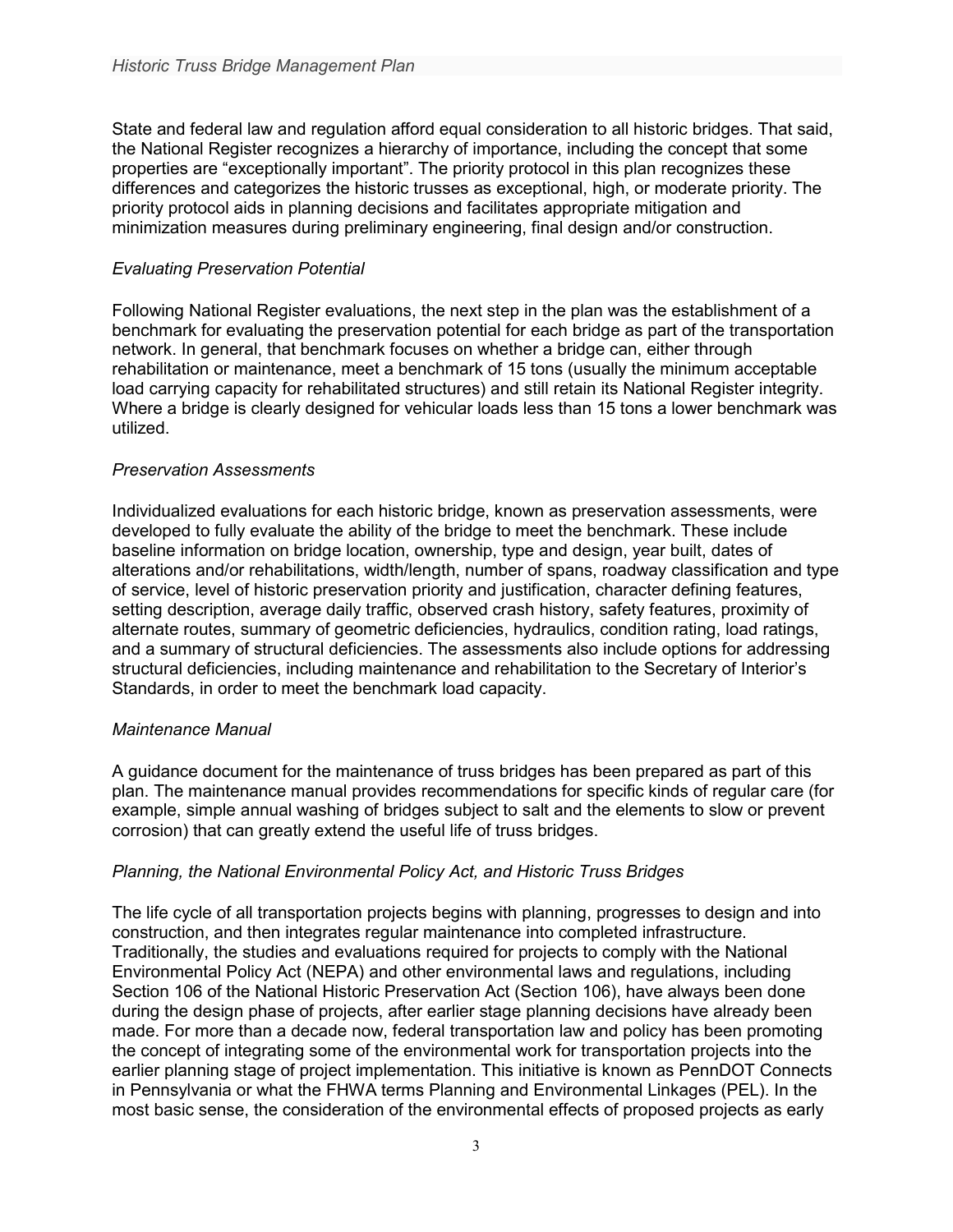State and federal law and regulation afford equal consideration to all historic bridges. That said, the National Register recognizes a hierarchy of importance, including the concept that some properties are "exceptionally important". The priority protocol in this plan recognizes these differences and categorizes the historic trusses as exceptional, high, or moderate priority. The priority protocol aids in planning decisions and facilitates appropriate mitigation and minimization measures during preliminary engineering, final design and/or construction.

### *Evaluating Preservation Potential*

Following National Register evaluations, the next step in the plan was the establishment of a benchmark for evaluating the preservation potential for each bridge as part of the transportation network. In general, that benchmark focuses on whether a bridge can, either through rehabilitation or maintenance, meet a benchmark of 15 tons (usually the minimum acceptable load carrying capacity for rehabilitated structures) and still retain its National Register integrity. Where a bridge is clearly designed for vehicular loads less than 15 tons a lower benchmark was utilized.

### *Preservation Assessments*

Individualized evaluations for each historic bridge, known as preservation assessments, were developed to fully evaluate the ability of the bridge to meet the benchmark. These include baseline information on bridge location, ownership, type and design, year built, dates of alterations and/or rehabilitations, width/length, number of spans, roadway classification and type of service, level of historic preservation priority and justification, character defining features, setting description, average daily traffic, observed crash history, safety features, proximity of alternate routes, summary of geometric deficiencies, hydraulics, condition rating, load ratings, and a summary of structural deficiencies. The assessments also include options for addressing structural deficiencies, including maintenance and rehabilitation to the Secretary of Interior's Standards, in order to meet the benchmark load capacity.

### *Maintenance Manual*

A guidance document for the maintenance of truss bridges has been prepared as part of this plan. The maintenance manual provides recommendations for specific kinds of regular care (for example, simple annual washing of bridges subject to salt and the elements to slow or prevent corrosion) that can greatly extend the useful life of truss bridges.

### *Planning, the National Environmental Policy Act, and Historic Truss Bridges*

The life cycle of all transportation projects begins with planning, progresses to design and into construction, and then integrates regular maintenance into completed infrastructure. Traditionally, the studies and evaluations required for projects to comply with the National Environmental Policy Act (NEPA) and other environmental laws and regulations, including Section 106 of the National Historic Preservation Act (Section 106), have always been done during the design phase of projects, after earlier stage planning decisions have already been made. For more than a decade now, federal transportation law and policy has been promoting the concept of integrating some of the environmental work for transportation projects into the earlier planning stage of project implementation. This initiative is known as PennDOT Connects in Pennsylvania or what the FHWA terms Planning and Environmental Linkages (PEL). In the most basic sense, the consideration of the environmental effects of proposed projects as early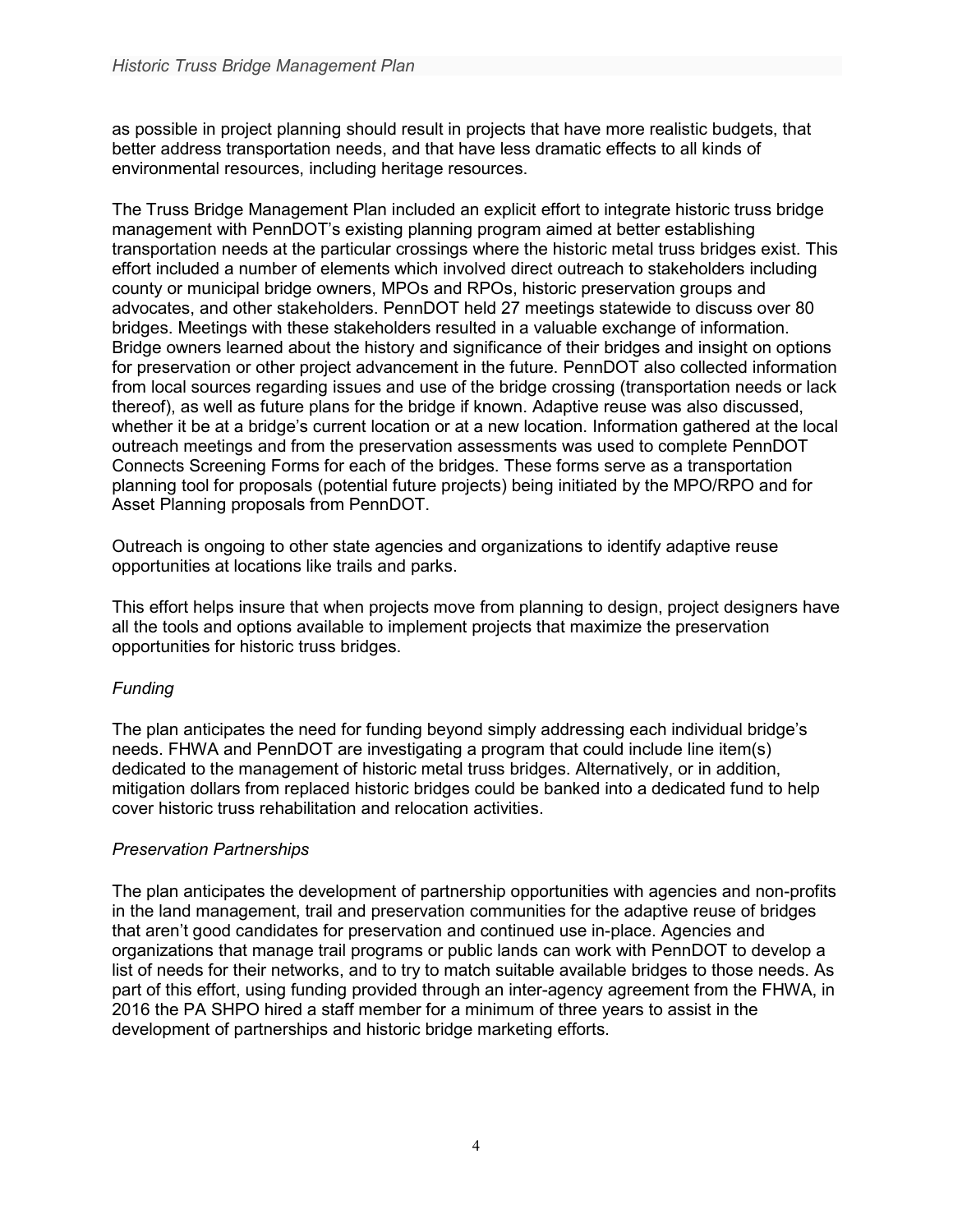as possible in project planning should result in projects that have more realistic budgets, that better address transportation needs, and that have less dramatic effects to all kinds of environmental resources, including heritage resources.

The Truss Bridge Management Plan included an explicit effort to integrate historic truss bridge management with PennDOT's existing planning program aimed at better establishing transportation needs at the particular crossings where the historic metal truss bridges exist. This effort included a number of elements which involved direct outreach to stakeholders including county or municipal bridge owners, MPOs and RPOs, historic preservation groups and advocates, and other stakeholders. PennDOT held 27 meetings statewide to discuss over 80 bridges. Meetings with these stakeholders resulted in a valuable exchange of information. Bridge owners learned about the history and significance of their bridges and insight on options for preservation or other project advancement in the future. PennDOT also collected information from local sources regarding issues and use of the bridge crossing (transportation needs or lack thereof), as well as future plans for the bridge if known. Adaptive reuse was also discussed, whether it be at a bridge's current location or at a new location. Information gathered at the local outreach meetings and from the preservation assessments was used to complete PennDOT Connects Screening Forms for each of the bridges. These forms serve as a transportation planning tool for proposals (potential future projects) being initiated by the MPO/RPO and for Asset Planning proposals from PennDOT.

Outreach is ongoing to other state agencies and organizations to identify adaptive reuse opportunities at locations like trails and parks.

This effort helps insure that when projects move from planning to design, project designers have all the tools and options available to implement projects that maximize the preservation opportunities for historic truss bridges.

### *Funding*

The plan anticipates the need for funding beyond simply addressing each individual bridge's needs. FHWA and PennDOT are investigating a program that could include line item(s) dedicated to the management of historic metal truss bridges. Alternatively, or in addition, mitigation dollars from replaced historic bridges could be banked into a dedicated fund to help cover historic truss rehabilitation and relocation activities.

### *Preservation Partnerships*

The plan anticipates the development of partnership opportunities with agencies and non-profits in the land management, trail and preservation communities for the adaptive reuse of bridges that aren't good candidates for preservation and continued use in-place. Agencies and organizations that manage trail programs or public lands can work with PennDOT to develop a list of needs for their networks, and to try to match suitable available bridges to those needs. As part of this effort, using funding provided through an inter-agency agreement from the FHWA, in 2016 the PA SHPO hired a staff member for a minimum of three years to assist in the development of partnerships and historic bridge marketing efforts.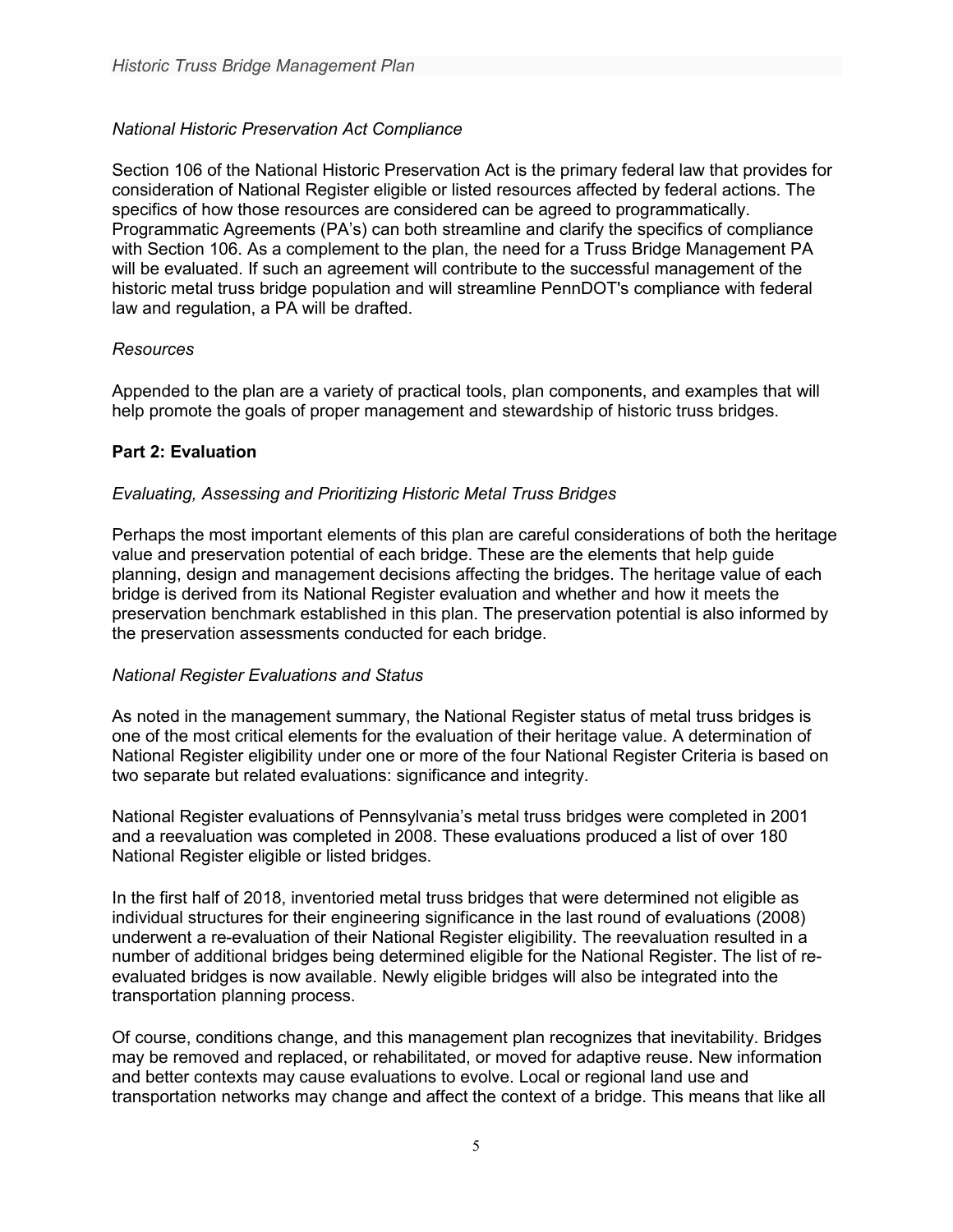# *National Historic Preservation Act Compliance*

Section 106 of the National Historic Preservation Act is the primary federal law that provides for consideration of National Register eligible or listed resources affected by federal actions. The specifics of how those resources are considered can be agreed to programmatically. Programmatic Agreements (PA's) can both streamline and clarify the specifics of compliance with Section 106. As a complement to the plan, the need for a Truss Bridge Management PA will be evaluated. If such an agreement will contribute to the successful management of the historic metal truss bridge population and will streamline PennDOT's compliance with federal law and regulation, a PA will be drafted.

### *Resources*

Appended to the plan are a variety of practical tools, plan components, and examples that will help promote the goals of proper management and stewardship of historic truss bridges.

### **Part 2: Evaluation**

### *Evaluating, Assessing and Prioritizing Historic Metal Truss Bridges*

Perhaps the most important elements of this plan are careful considerations of both the heritage value and preservation potential of each bridge. These are the elements that help guide planning, design and management decisions affecting the bridges. The heritage value of each bridge is derived from its National Register evaluation and whether and how it meets the preservation benchmark established in this plan. The preservation potential is also informed by the preservation assessments conducted for each bridge.

#### *National Register Evaluations and Status*

As noted in the management summary, the National Register status of metal truss bridges is one of the most critical elements for the evaluation of their heritage value. A determination of National Register eligibility under one or more of the four National Register Criteria is based on two separate but related evaluations: significance and integrity.

National Register evaluations of Pennsylvania's metal truss bridges were completed in 2001 and a reevaluation was completed in 2008. These evaluations produced a list of over 180 National Register eligible or listed bridges.

In the first half of 2018, inventoried metal truss bridges that were determined not eligible as individual structures for their engineering significance in the last round of evaluations (2008) underwent a re-evaluation of their National Register eligibility. The reevaluation resulted in a number of additional bridges being determined eligible for the National Register. The list of reevaluated bridges is now available. Newly eligible bridges will also be integrated into the transportation planning process.

Of course, conditions change, and this management plan recognizes that inevitability. Bridges may be removed and replaced, or rehabilitated, or moved for adaptive reuse. New information and better contexts may cause evaluations to evolve. Local or regional land use and transportation networks may change and affect the context of a bridge. This means that like all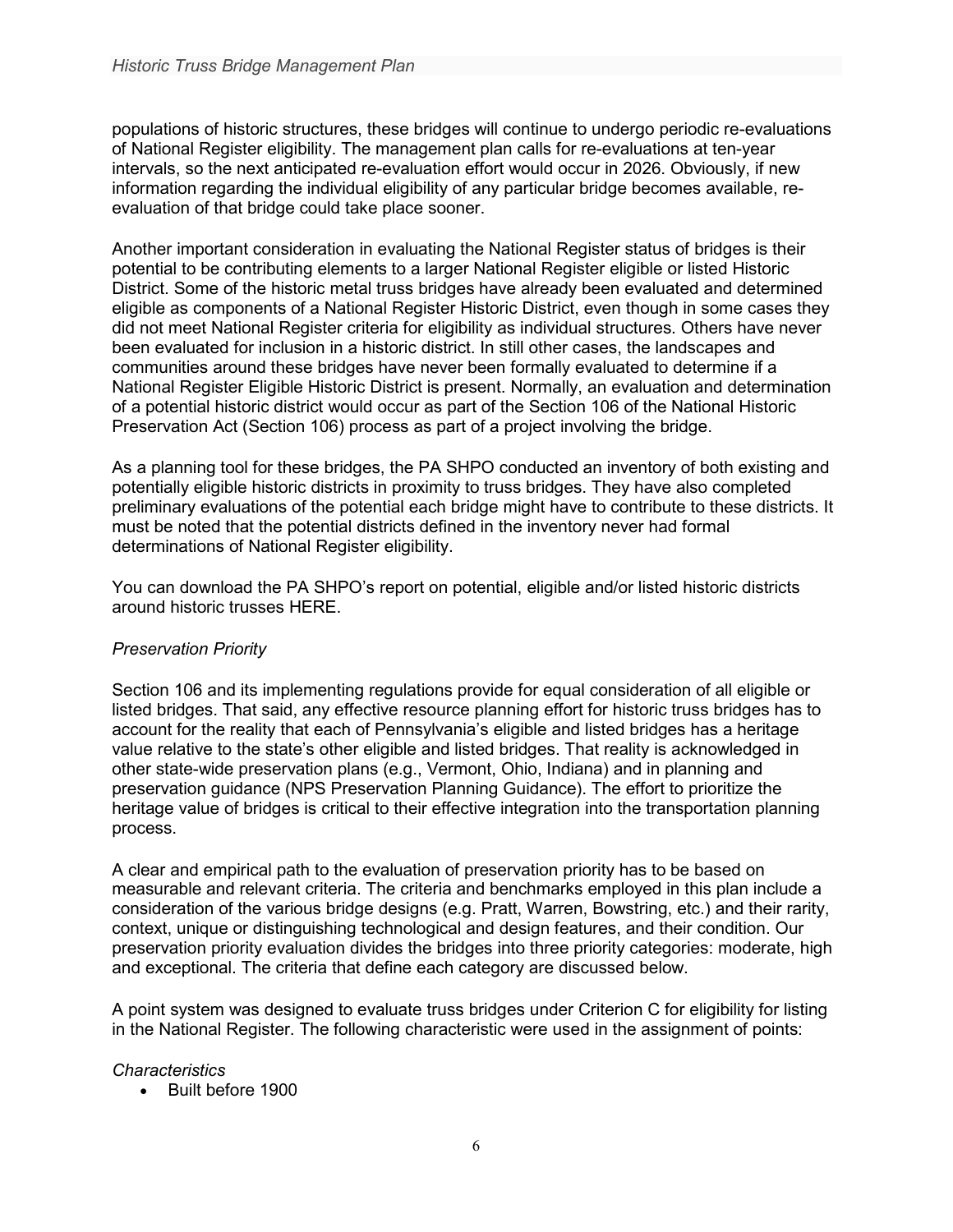populations of historic structures, these bridges will continue to undergo periodic re-evaluations of National Register eligibility. The management plan calls for re-evaluations at ten-year intervals, so the next anticipated re-evaluation effort would occur in 2026. Obviously, if new information regarding the individual eligibility of any particular bridge becomes available, reevaluation of that bridge could take place sooner.

Another important consideration in evaluating the National Register status of bridges is their potential to be contributing elements to a larger National Register eligible or listed Historic District. Some of the historic metal truss bridges have already been evaluated and determined eligible as components of a National Register Historic District, even though in some cases they did not meet National Register criteria for eligibility as individual structures. Others have never been evaluated for inclusion in a historic district. In still other cases, the landscapes and communities around these bridges have never been formally evaluated to determine if a National Register Eligible Historic District is present. Normally, an evaluation and determination of a potential historic district would occur as part of the Section 106 of the National Historic Preservation Act (Section 106) process as part of a project involving the bridge.

As a planning tool for these bridges, the PA SHPO conducted an inventory of both existing and potentially eligible historic districts in proximity to truss bridges. They have also completed preliminary evaluations of the potential each bridge might have to contribute to these districts. It must be noted that the potential districts defined in the inventory never had formal determinations of National Register eligibility.

You can download the PA SHPO's report on potential, eligible and/or listed historic districts around historic trusses HERE.

### *Preservation Priority*

Section 106 and its implementing regulations provide for equal consideration of all eligible or listed bridges. That said, any effective resource planning effort for historic truss bridges has to account for the reality that each of Pennsylvania's eligible and listed bridges has a heritage value relative to the state's other eligible and listed bridges. That reality is acknowledged in other state-wide preservation plans (e.g., Vermont, Ohio, Indiana) and in planning and preservation guidance (NPS Preservation Planning Guidance). The effort to prioritize the heritage value of bridges is critical to their effective integration into the transportation planning process.

A clear and empirical path to the evaluation of preservation priority has to be based on measurable and relevant criteria. The criteria and benchmarks employed in this plan include a consideration of the various bridge designs (e.g. Pratt, Warren, Bowstring, etc.) and their rarity, context, unique or distinguishing technological and design features, and their condition. Our preservation priority evaluation divides the bridges into three priority categories: moderate, high and exceptional. The criteria that define each category are discussed below.

A point system was designed to evaluate truss bridges under Criterion C for eligibility for listing in the National Register. The following characteristic were used in the assignment of points:

#### *Characteristics*

• Built before 1900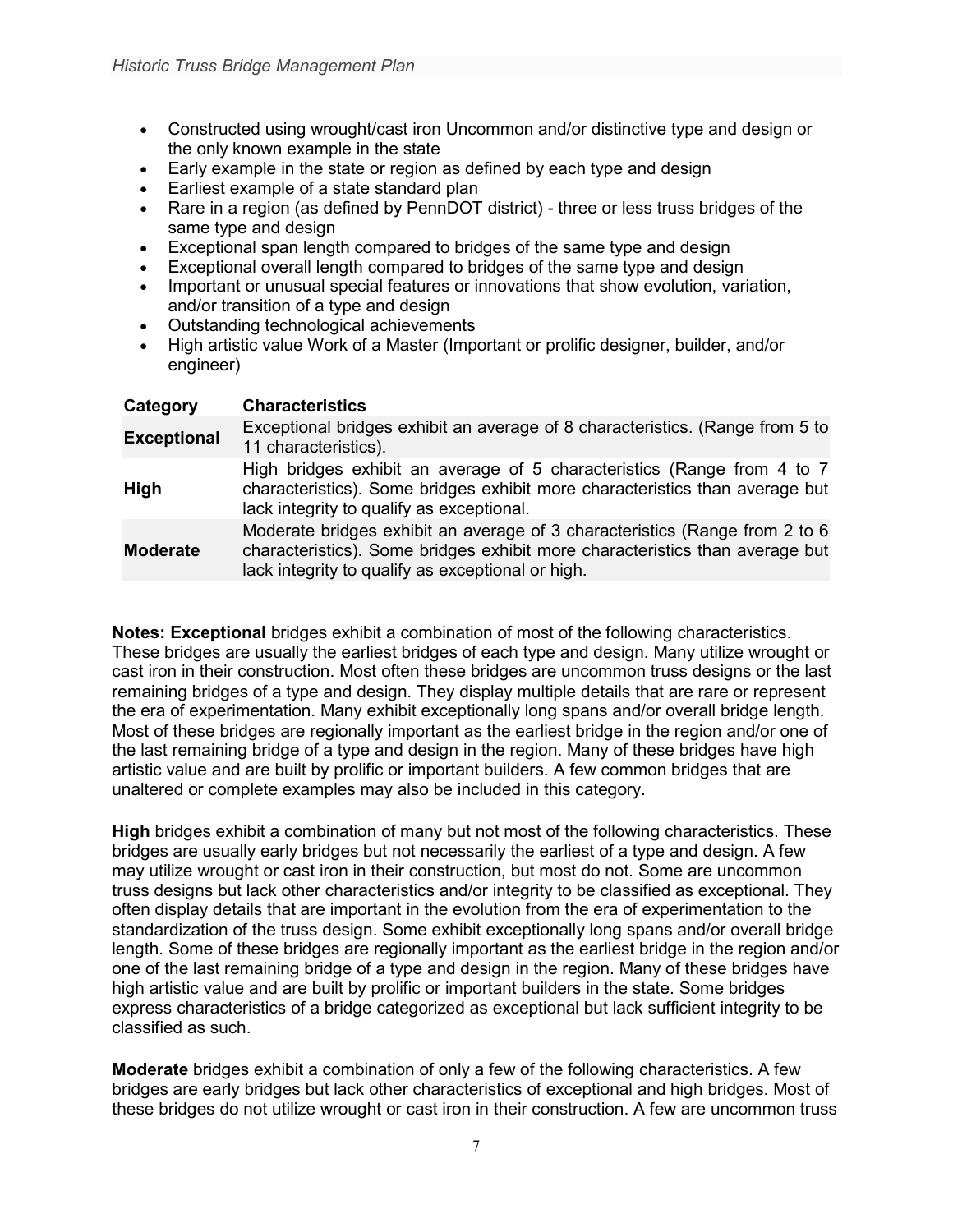- Constructed using wrought/cast iron Uncommon and/or distinctive type and design or the only known example in the state
- Early example in the state or region as defined by each type and design
- Earliest example of a state standard plan
- Rare in a region (as defined by PennDOT district) three or less truss bridges of the same type and design
- Exceptional span length compared to bridges of the same type and design
- Exceptional overall length compared to bridges of the same type and design
- Important or unusual special features or innovations that show evolution, variation, and/or transition of a type and design
- Outstanding technological achievements
- High artistic value Work of a Master (Important or prolific designer, builder, and/or engineer)

| Category           | <b>Characteristics</b>                                                                                                                                                                                           |
|--------------------|------------------------------------------------------------------------------------------------------------------------------------------------------------------------------------------------------------------|
| <b>Exceptional</b> | Exceptional bridges exhibit an average of 8 characteristics. (Range from 5 to<br>11 characteristics).                                                                                                            |
| <b>High</b>        | High bridges exhibit an average of 5 characteristics (Range from 4 to 7<br>characteristics). Some bridges exhibit more characteristics than average but<br>lack integrity to qualify as exceptional.             |
| <b>Moderate</b>    | Moderate bridges exhibit an average of 3 characteristics (Range from 2 to 6<br>characteristics). Some bridges exhibit more characteristics than average but<br>lack integrity to qualify as exceptional or high. |

**Notes: Exceptional** bridges exhibit a combination of most of the following characteristics. These bridges are usually the earliest bridges of each type and design. Many utilize wrought or cast iron in their construction. Most often these bridges are uncommon truss designs or the last remaining bridges of a type and design. They display multiple details that are rare or represent the era of experimentation. Many exhibit exceptionally long spans and/or overall bridge length. Most of these bridges are regionally important as the earliest bridge in the region and/or one of the last remaining bridge of a type and design in the region. Many of these bridges have high artistic value and are built by prolific or important builders. A few common bridges that are unaltered or complete examples may also be included in this category.

**High** bridges exhibit a combination of many but not most of the following characteristics. These bridges are usually early bridges but not necessarily the earliest of a type and design. A few may utilize wrought or cast iron in their construction, but most do not. Some are uncommon truss designs but lack other characteristics and/or integrity to be classified as exceptional. They often display details that are important in the evolution from the era of experimentation to the standardization of the truss design. Some exhibit exceptionally long spans and/or overall bridge length. Some of these bridges are regionally important as the earliest bridge in the region and/or one of the last remaining bridge of a type and design in the region. Many of these bridges have high artistic value and are built by prolific or important builders in the state. Some bridges express characteristics of a bridge categorized as exceptional but lack sufficient integrity to be classified as such.

**Moderate** bridges exhibit a combination of only a few of the following characteristics. A few bridges are early bridges but lack other characteristics of exceptional and high bridges. Most of these bridges do not utilize wrought or cast iron in their construction. A few are uncommon truss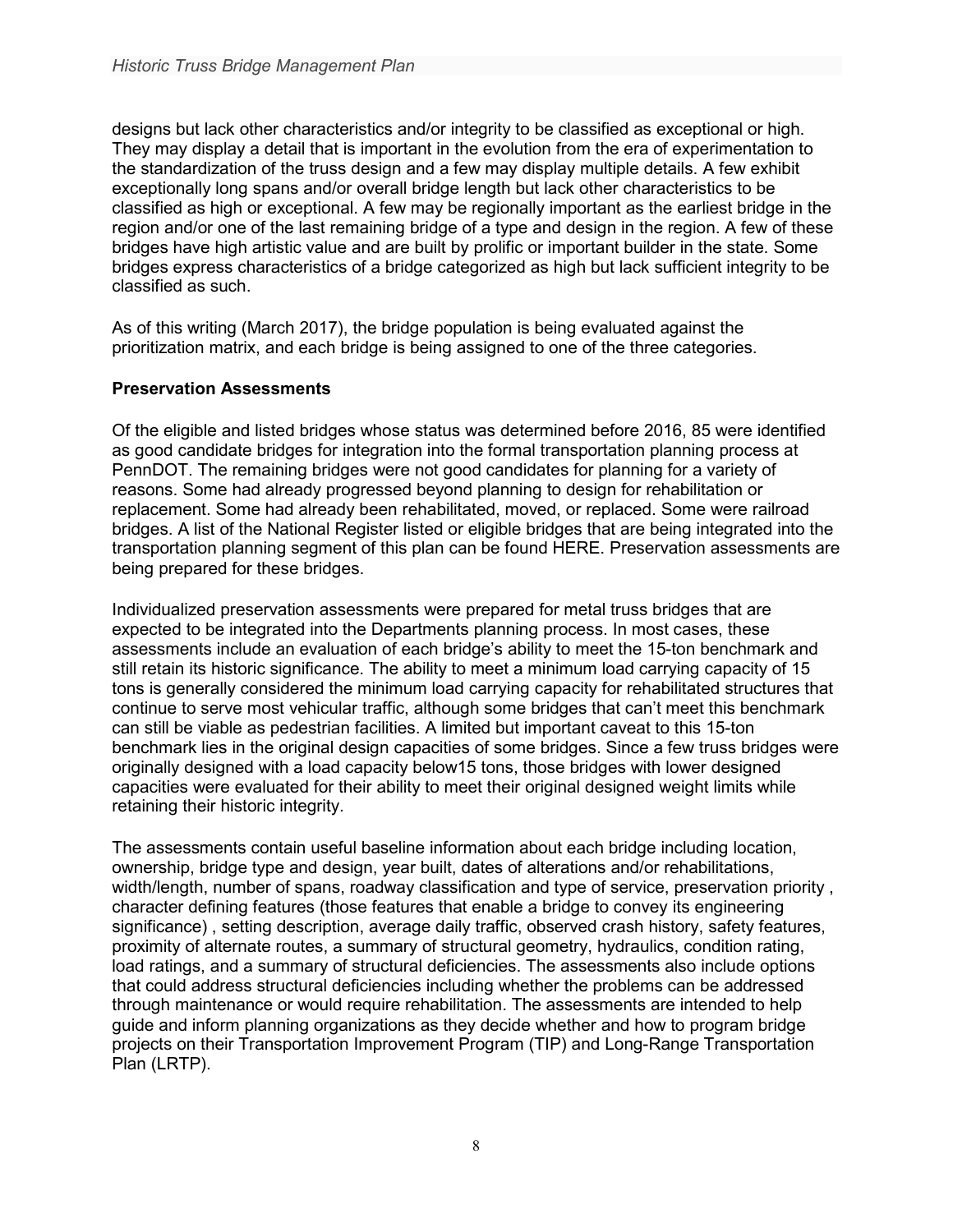designs but lack other characteristics and/or integrity to be classified as exceptional or high. They may display a detail that is important in the evolution from the era of experimentation to the standardization of the truss design and a few may display multiple details. A few exhibit exceptionally long spans and/or overall bridge length but lack other characteristics to be classified as high or exceptional. A few may be regionally important as the earliest bridge in the region and/or one of the last remaining bridge of a type and design in the region. A few of these bridges have high artistic value and are built by prolific or important builder in the state. Some bridges express characteristics of a bridge categorized as high but lack sufficient integrity to be classified as such.

As of this writing (March 2017), the bridge population is being evaluated against the prioritization matrix, and each bridge is being assigned to one of the three categories.

### **Preservation Assessments**

Of the eligible and listed bridges whose status was determined before 2016, 85 were identified as good candidate bridges for integration into the formal transportation planning process at PennDOT. The remaining bridges were not good candidates for planning for a variety of reasons. Some had already progressed beyond planning to design for rehabilitation or replacement. Some had already been rehabilitated, moved, or replaced. Some were railroad bridges. A list of the National Register listed or eligible bridges that are being integrated into the transportation planning segment of this plan can be found HERE. Preservation assessments are being prepared for these bridges.

Individualized preservation assessments were prepared for metal truss bridges that are expected to be integrated into the Departments planning process. In most cases, these assessments include an evaluation of each bridge's ability to meet the 15-ton benchmark and still retain its historic significance. The ability to meet a minimum load carrying capacity of 15 tons is generally considered the minimum load carrying capacity for rehabilitated structures that continue to serve most vehicular traffic, although some bridges that can't meet this benchmark can still be viable as pedestrian facilities. A limited but important caveat to this 15-ton benchmark lies in the original design capacities of some bridges. Since a few truss bridges were originally designed with a load capacity below15 tons, those bridges with lower designed capacities were evaluated for their ability to meet their original designed weight limits while retaining their historic integrity.

The assessments contain useful baseline information about each bridge including location, ownership, bridge type and design, year built, dates of alterations and/or rehabilitations, width/length, number of spans, roadway classification and type of service, preservation priority , character defining features (those features that enable a bridge to convey its engineering significance) , setting description, average daily traffic, observed crash history, safety features, proximity of alternate routes, a summary of structural geometry, hydraulics, condition rating, load ratings, and a summary of structural deficiencies. The assessments also include options that could address structural deficiencies including whether the problems can be addressed through maintenance or would require rehabilitation. The assessments are intended to help guide and inform planning organizations as they decide whether and how to program bridge projects on their Transportation Improvement Program (TIP) and Long-Range Transportation Plan (LRTP).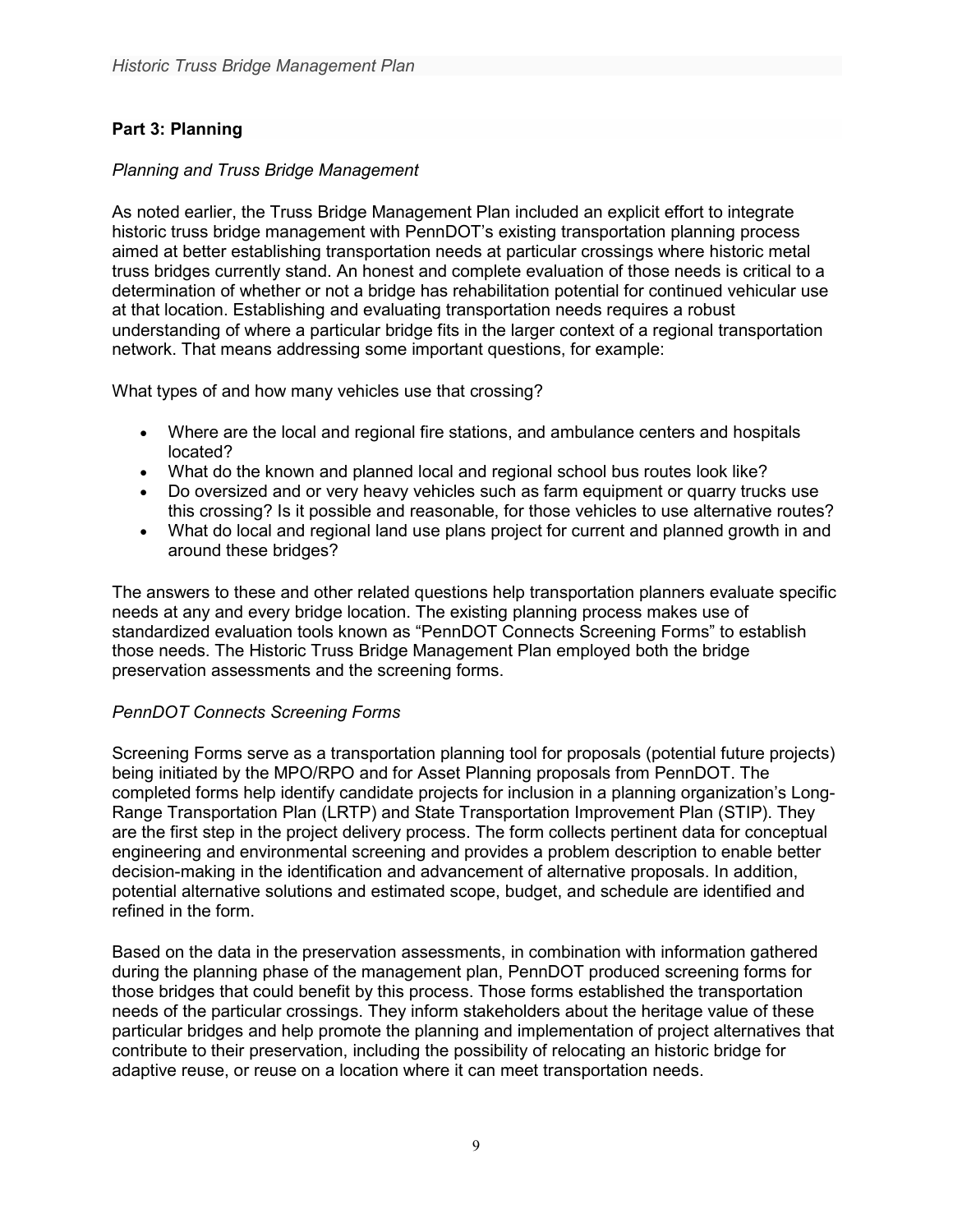# **Part 3: Planning**

### *Planning and Truss Bridge Management*

As noted earlier, the Truss Bridge Management Plan included an explicit effort to integrate historic truss bridge management with PennDOT's existing transportation planning process aimed at better establishing transportation needs at particular crossings where historic metal truss bridges currently stand. An honest and complete evaluation of those needs is critical to a determination of whether or not a bridge has rehabilitation potential for continued vehicular use at that location. Establishing and evaluating transportation needs requires a robust understanding of where a particular bridge fits in the larger context of a regional transportation network. That means addressing some important questions, for example:

What types of and how many vehicles use that crossing?

- Where are the local and regional fire stations, and ambulance centers and hospitals located?
- What do the known and planned local and regional school bus routes look like?
- Do oversized and or very heavy vehicles such as farm equipment or quarry trucks use this crossing? Is it possible and reasonable, for those vehicles to use alternative routes?
- What do local and regional land use plans project for current and planned growth in and around these bridges?

The answers to these and other related questions help transportation planners evaluate specific needs at any and every bridge location. The existing planning process makes use of standardized evaluation tools known as "PennDOT Connects Screening Forms" to establish those needs. The Historic Truss Bridge Management Plan employed both the bridge preservation assessments and the screening forms.

### *PennDOT Connects Screening Forms*

Screening Forms serve as a transportation planning tool for proposals (potential future projects) being initiated by the MPO/RPO and for Asset Planning proposals from PennDOT. The completed forms help identify candidate projects for inclusion in a planning organization's Long-Range Transportation Plan (LRTP) and State Transportation Improvement Plan (STIP). They are the first step in the project delivery process. The form collects pertinent data for conceptual engineering and environmental screening and provides a problem description to enable better decision-making in the identification and advancement of alternative proposals. In addition, potential alternative solutions and estimated scope, budget, and schedule are identified and refined in the form.

Based on the data in the preservation assessments, in combination with information gathered during the planning phase of the management plan, PennDOT produced screening forms for those bridges that could benefit by this process. Those forms established the transportation needs of the particular crossings. They inform stakeholders about the heritage value of these particular bridges and help promote the planning and implementation of project alternatives that contribute to their preservation, including the possibility of relocating an historic bridge for adaptive reuse, or reuse on a location where it can meet transportation needs.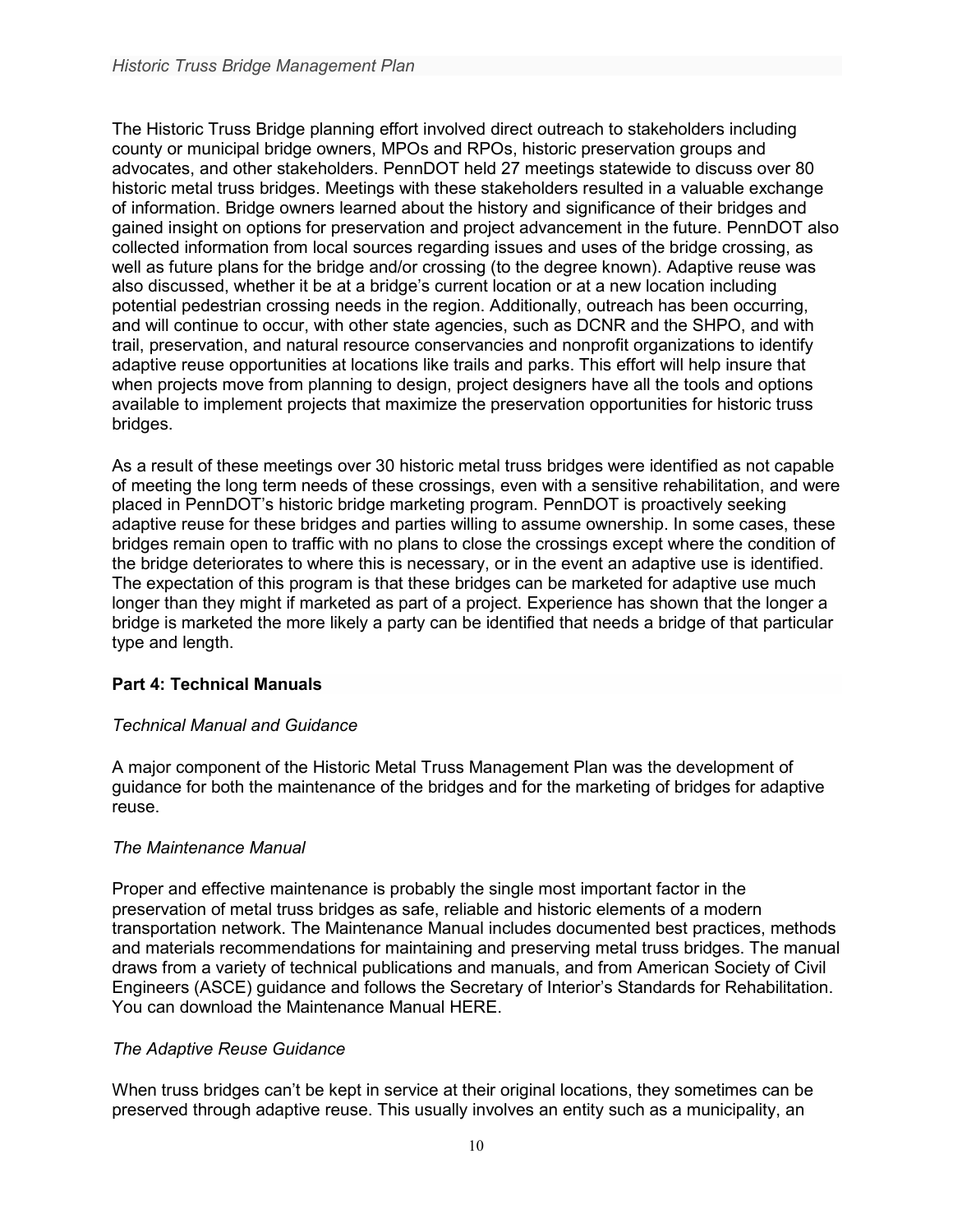The Historic Truss Bridge planning effort involved direct outreach to stakeholders including county or municipal bridge owners, MPOs and RPOs, historic preservation groups and advocates, and other stakeholders. PennDOT held 27 meetings statewide to discuss over 80 historic metal truss bridges. Meetings with these stakeholders resulted in a valuable exchange of information. Bridge owners learned about the history and significance of their bridges and gained insight on options for preservation and project advancement in the future. PennDOT also collected information from local sources regarding issues and uses of the bridge crossing, as well as future plans for the bridge and/or crossing (to the degree known). Adaptive reuse was also discussed, whether it be at a bridge's current location or at a new location including potential pedestrian crossing needs in the region. Additionally, outreach has been occurring, and will continue to occur, with other state agencies, such as DCNR and the SHPO, and with trail, preservation, and natural resource conservancies and nonprofit organizations to identify adaptive reuse opportunities at locations like trails and parks. This effort will help insure that when projects move from planning to design, project designers have all the tools and options available to implement projects that maximize the preservation opportunities for historic truss bridges.

As a result of these meetings over 30 historic metal truss bridges were identified as not capable of meeting the long term needs of these crossings, even with a sensitive rehabilitation, and were placed in PennDOT's historic bridge marketing program. PennDOT is proactively seeking adaptive reuse for these bridges and parties willing to assume ownership. In some cases, these bridges remain open to traffic with no plans to close the crossings except where the condition of the bridge deteriorates to where this is necessary, or in the event an adaptive use is identified. The expectation of this program is that these bridges can be marketed for adaptive use much longer than they might if marketed as part of a project. Experience has shown that the longer a bridge is marketed the more likely a party can be identified that needs a bridge of that particular type and length.

### **Part 4: Technical Manuals**

### *Technical Manual and Guidance*

A major component of the Historic Metal Truss Management Plan was the development of guidance for both the maintenance of the bridges and for the marketing of bridges for adaptive reuse.

### *The Maintenance Manual*

Proper and effective maintenance is probably the single most important factor in the preservation of metal truss bridges as safe, reliable and historic elements of a modern transportation network. The Maintenance Manual includes documented best practices, methods and materials recommendations for maintaining and preserving metal truss bridges. The manual draws from a variety of technical publications and manuals, and from American Society of Civil Engineers (ASCE) guidance and follows the Secretary of Interior's Standards for Rehabilitation. You can download the Maintenance Manual HERE.

### *The Adaptive Reuse Guidance*

When truss bridges can't be kept in service at their original locations, they sometimes can be preserved through adaptive reuse. This usually involves an entity such as a municipality, an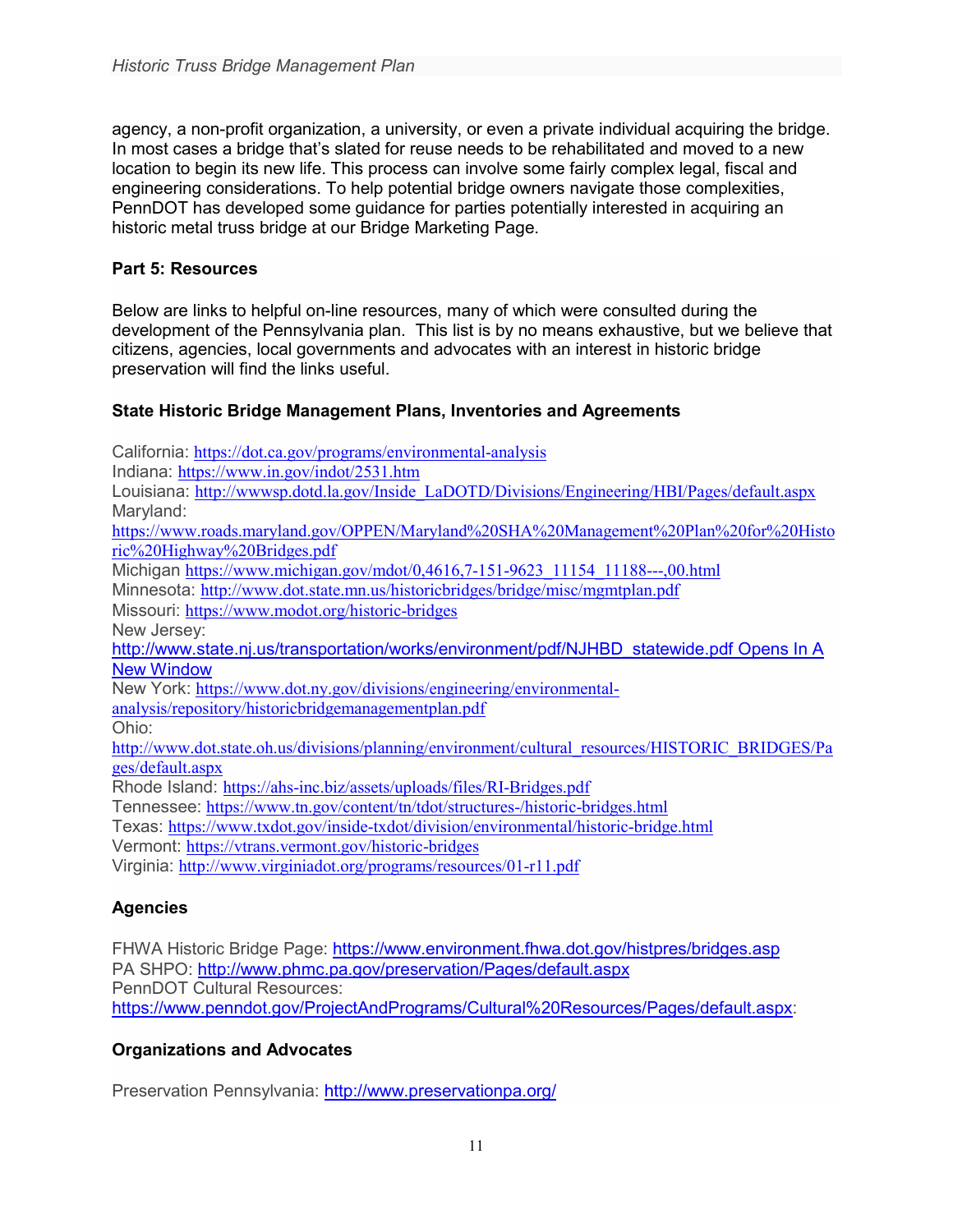agency, a non-profit organization, a university, or even a private individual acquiring the bridge. In most cases a bridge that's slated for reuse needs to be rehabilitated and moved to a new location to begin its new life. This process can involve some fairly complex legal, fiscal and engineering considerations. To help potential bridge owners navigate those complexities, PennDOT has developed some guidance for parties potentially interested in acquiring an historic metal truss bridge at our Bridge Marketing Page.

### **Part 5: Resources**

Below are links to helpful on-line resources, many of which were consulted during the development of the Pennsylvania plan. This list is by no means exhaustive, but we believe that citizens, agencies, local governments and advocates with an interest in historic bridge preservation will find the links useful.

# **State Historic Bridge Management Plans, Inventories and Agreements**

California: <https://dot.ca.gov/programs/environmental-analysis> Indiana: <https://www.in.gov/indot/2531.htm> Louisiana: [http://wwwsp.dotd.la.gov/Inside\\_LaDOTD/Divisions/Engineering/HBI/Pages/default.aspx](http://wwwsp.dotd.la.gov/Inside_LaDOTD/Divisions/Engineering/HBI/Pages/default.aspx) Maryland: [https://www.roads.maryland.gov/OPPEN/Maryland%20SHA%20Management%20Plan%20for%20Histo](https://www.roads.maryland.gov/OPPEN/Maryland%20SHA%20Management%20Plan%20for%20Historic%20Highway%20Bridges.pdf) [ric%20Highway%20Bridges.pdf](https://www.roads.maryland.gov/OPPEN/Maryland%20SHA%20Management%20Plan%20for%20Historic%20Highway%20Bridges.pdf) Michigan [https://www.michigan.gov/mdot/0,4616,7-151-9623\\_11154\\_11188---,00.html](https://www.michigan.gov/mdot/0,4616,7-151-9623_11154_11188---,00.html) Minnesota: <http://www.dot.state.mn.us/historicbridges/bridge/misc/mgmtplan.pdf> Missouri: <https://www.modot.org/historic-bridges> New Jersey: [http://www.state.nj.us/transportation/works/environment/pdf/NJHBD\\_statewide.pdf](http://www.state.nj.us/transportation/works/environment/pdf/NJHBD_statewide.pdf) Opens In A [New Window](http://www.state.nj.us/transportation/works/environment/pdf/NJHBD_statewide.pdf) New York: [https://www.dot.ny.gov/divisions/engineering/environmental](https://www.dot.ny.gov/divisions/engineering/environmental-analysis/repository/historicbridgemanagementplan.pdf)[analysis/repository/historicbridgemanagementplan.pdf](https://www.dot.ny.gov/divisions/engineering/environmental-analysis/repository/historicbridgemanagementplan.pdf) Ohio: [http://www.dot.state.oh.us/divisions/planning/environment/cultural\\_resources/HISTORIC\\_BRIDGES/Pa](http://www.dot.state.oh.us/divisions/planning/environment/cultural_resources/HISTORIC_BRIDGES/Pages/default.aspx) [ges/default.aspx](http://www.dot.state.oh.us/divisions/planning/environment/cultural_resources/HISTORIC_BRIDGES/Pages/default.aspx) Rhode Island: <https://ahs-inc.biz/assets/uploads/files/RI-Bridges.pdf> Tennessee: <https://www.tn.gov/content/tn/tdot/structures-/historic-bridges.html> Texas: <https://www.txdot.gov/inside-txdot/division/environmental/historic-bridge.html> Vermont: <https://vtrans.vermont.gov/historic-bridges> Virginia: <http://www.virginiadot.org/programs/resources/01-r11.pdf>

# **Agencies**

FHWA Historic Bridge Page: <https://www.environment.fhwa.dot.gov/histpres/bridges.asp> PA SHPO: <http://www.phmc.pa.gov/preservation/Pages/default.aspx> PennDOT Cultural Resources: [https://www.penndot.gov/ProjectAndPrograms/Cultural%20Resources/Pages/default.aspx:](https://www.penndot.gov/ProjectAndPrograms/Cultural%20Resources/Pages/default.aspx)

# **Organizations and Advocates**

Preservation Pennsylvania:<http://www.preservationpa.org/>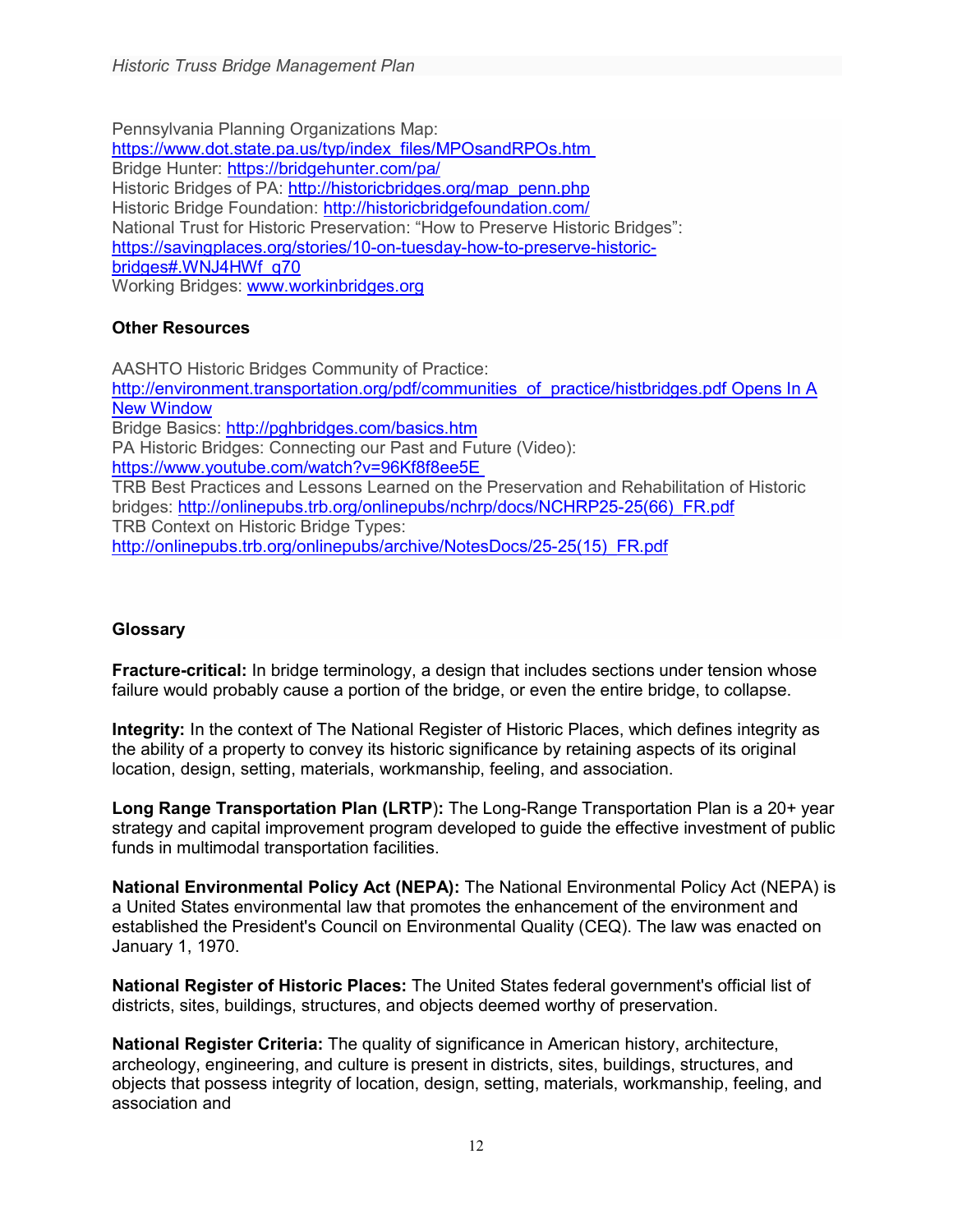Pennsylvania Planning Organizations Map: [https://www.dot.state.pa.us/typ/index\\_files/MPOsandRPOs.htm](https://www.dot.state.pa.us/typ/index_files/MPOsandRPOs.htm) Bridge Hunter: <https://bridgehunter.com/pa/> Historic Bridges of PA: [http://historicbridges.org/map\\_penn.php](http://historicbridges.org/map_penn.php) Historic Bridge Foundation: <http://historicbridgefoundation.com/> National Trust for Historic Preservation: "How to Preserve Historic Bridges": [https://savingplaces.org/stories/10-on-tuesday-how-to-preserve-historic](https://savingplaces.org/stories/10-on-tuesday-how-to-preserve-historic-bridges#.WNJ4HWf_q70)[bridges#.WNJ4HWf\\_q70](https://savingplaces.org/stories/10-on-tuesday-how-to-preserve-historic-bridges#.WNJ4HWf_q70) Working Bridges: [www.workinbridges.org](http://www.workinbridges.org/)

### **Other Resources**

AASHTO Historic Bridges Community of Practice: [http://environment.transportation.org/pdf/communities\\_of\\_practice/histbridges.pdf](http://environment.transportation.org/pdf/communities_of_practice/histbridges.pdf) Opens In A [New Window](http://environment.transportation.org/pdf/communities_of_practice/histbridges.pdf) Bridge Basics: <http://pghbridges.com/basics.htm> PA Historic Bridges: Connecting our Past and Future (Video): <https://www.youtube.com/watch?v=96Kf8f8ee5E> TRB Best Practices and Lessons Learned on the Preservation and Rehabilitation of Historic bridges: [http://onlinepubs.trb.org/onlinepubs/nchrp/docs/NCHRP25-25\(66\)\\_FR.pdf](http://onlinepubs.trb.org/onlinepubs/nchrp/docs/NCHRP25-25(66)_FR.pdf) TRB Context on Historic Bridge Types: [http://onlinepubs.trb.org/onlinepubs/archive/NotesDocs/25-25\(15\)\\_FR.pdf](http://onlinepubs.trb.org/onlinepubs/archive/NotesDocs/25-25%2815%29_FR.pdf)

# **Glossary**

**Fracture-critical:** In bridge terminology, a design that includes sections under tension whose failure would probably cause a portion of the bridge, or even the entire bridge, to collapse.

**Integrity:** In the context of The National Register of Historic Places, which defines integrity as the ability of a property to convey its historic significance by retaining aspects of its original location, design, setting, materials, workmanship, feeling, and association.

**Long Range Transportation Plan (LRTP**)**:** The Long-Range Transportation Plan is a 20+ year strategy and capital improvement program developed to guide the effective investment of public funds in multimodal transportation facilities.

**National Environmental Policy Act (NEPA):** The National Environmental Policy Act (NEPA) is a United States environmental law that promotes the enhancement of the environment and established the President's Council on Environmental Quality (CEQ). The law was enacted on January 1, 1970.

**National Register of Historic Places:** The United States federal government's official list of districts, sites, buildings, structures, and objects deemed worthy of preservation.

**National Register Criteria:** The quality of significance in American history, architecture, archeology, engineering, and culture is present in districts, sites, buildings, structures, and objects that possess integrity of location, design, setting, materials, workmanship, feeling, and association and